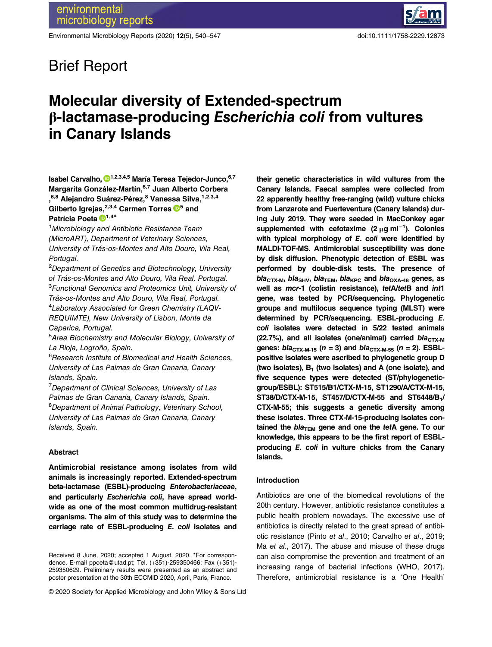Environmental Microbiology Reports (2020) 12(5), 540–547 doi:10.1111/1758-2229.12873

## Brief Report

# Molecular diversity of Extended-spectrum β-lactamase-producing Escherichia coli from vultures in Canary Islands

Isabel Carvalho, <sup>[1](https://orcid.org/0000-0003-1762-412X),2,3,4,5</sup> María Teresa Tejedor-Junco, 6,7 Margarita González-Martín, 6,7 Juan Alberto Corbera ,<sup>6,8</sup> Alejandro Suárez-Pérez,<sup>8</sup> Vanessa Silva,<sup>1,2,3,4</sup> Gilberto Igrejas,  $^{2,3,4}$  Carmen Torres  $\blacksquare^5$  and Patrícia Poeta <sup>1,4\*</sup>

<sup>1</sup>Microbiology and Antibiotic Resistance Team (MicroART), Department of Veterinary Sciences, University of Trás-os-Montes and Alto Douro, Vila Real, Portugal.

<sup>2</sup>Department of Genetics and Biotechnology, University of Trás-os-Montes and Alto Douro, Vila Real, Portugal. <sup>3</sup>Functional Genomics and Proteomics Unit, University of Trás-os-Montes and Alto Douro, Vila Real, Portugal. 4 Laboratory Associated for Green Chemistry (LAQV-REQUIMTE), New University of Lisbon, Monte da Caparica, Portugal.

5 Area Biochemistry and Molecular Biology, University of La Rioja, Logroño, Spain.

6 Research Institute of Biomedical and Health Sciences, University of Las Palmas de Gran Canaria, Canary Islands, Spain.

<sup>7</sup>Department of Clinical Sciences, University of Las Palmas de Gran Canaria, Canary Islands, Spain. <sup>8</sup>Department of Animal Pathology, Veterinary School, University of Las Palmas de Gran Canaria, Canary Islands, Spain.

## Abstract

Antimicrobial resistance among isolates from wild animals is increasingly reported. Extended-spectrum beta-lactamase (ESBL)-producing Enterobacteriaceae, and particularly Escherichia coli, have spread worldwide as one of the most common multidrug-resistant organisms. The aim of this study was to determine the carriage rate of ESBL-producing E. coli isolates and

© 2020 Society for Applied Microbiology and John Wiley & Sons Ltd

their genetic characteristics in wild vultures from the Canary Islands. Faecal samples were collected from 22 apparently healthy free-ranging (wild) vulture chicks from Lanzarote and Fuerteventura (Canary Islands) during July 2019. They were seeded in MacConkey agar supplemented with cefotaxime (2  $\mu$ g ml<sup>-1</sup>). Colonies with typical morphology of E. coli were identified by MALDI-TOF-MS. Antimicrobial susceptibility was done by disk diffusion. Phenotypic detection of ESBL was performed by double-disk tests. The presence of  $bla_{\text{CTX-M}}$ , bla<sub>SHV</sub>, bla<sub>TEM</sub>, bla<sub>KPC</sub> and bla<sub>OXA-48</sub> genes, as well as mcr-1 (colistin resistance), tetA/tetB and int1 gene, was tested by PCR/sequencing. Phylogenetic groups and multilocus sequence typing (MLST) were determined by PCR/sequencing. ESBL-producing E. coli isolates were detected in 5/22 tested animals (22.7%), and all isolates (one/animal) carried  $bla_{CTX-M}$ genes:  $bla_{CTX-M-15}$  (n = 3) and  $bla_{CTX-M-55}$  (n = 2). ESBLpositive isolates were ascribed to phylogenetic group D (two isolates),  $B_1$  (two isolates) and A (one isolate), and five sequence types were detected (ST/phylogeneticgroup/ESBL): ST515/B1/CTX-M-15, ST1290/A/CTX-M-15, ST38/D/CTX-M-15, ST457/D/CTX-M-55 and ST6448/B1/ CTX-M-55; this suggests a genetic diversity among these isolates. Three CTX-M-15-producing isolates contained the  $bla_{\text{TEM}}$  gene and one the tetA gene. To our knowledge, this appears to be the first report of ESBLproducing E. coli in vulture chicks from the Canary Islands.

## Introduction

Antibiotics are one of the biomedical revolutions of the 20th century. However, antibiotic resistance constitutes a public health problem nowadays. The excessive use of antibiotics is directly related to the great spread of antibiotic resistance (Pinto et al., 2010; Carvalho et al., 2019; Ma et al., 2017). The abuse and misuse of these drugs can also compromise the prevention and treatment of an increasing range of bacterial infections (WHO, 2017). Therefore, antimicrobial resistance is a 'One Health'

Received 8 June, 2020; accepted 1 August, 2020. \*For correspondence. E-mail [ppoeta@utad.pt;](mailto:ppoeta@utad.pt) Tel. (+351)-259350466; Fax (+351)- 259350629. Preliminary results were presented as an abstract and poster presentation at the 30th ECCMID 2020, April, Paris, France.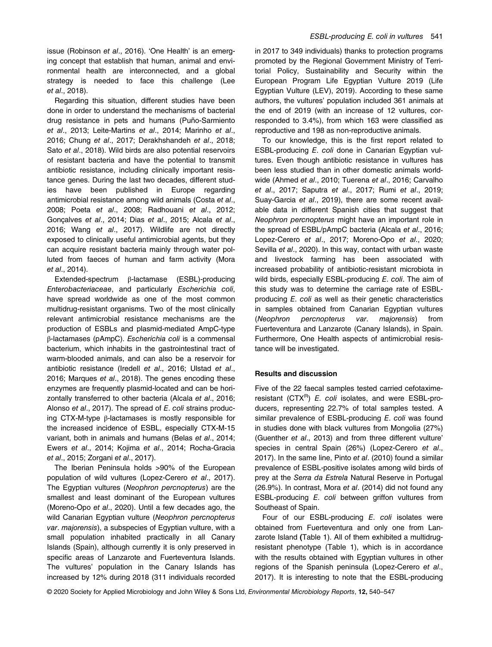issue (Robinson et al., 2016). 'One Health' is an emerging concept that establish that human, animal and environmental health are interconnected, and a global strategy is needed to face this challenge (Lee et al., 2018).

Regarding this situation, different studies have been done in order to understand the mechanisms of bacterial drug resistance in pets and humans (Puño-Sarmiento et al., 2013; Leite-Martins et al., 2014; Marinho et al., 2016; Chung et al., 2017; Derakhshandeh et al., 2018; Sato et al., 2018). Wild birds are also potential reservoirs of resistant bacteria and have the potential to transmit antibiotic resistance, including clinically important resistance genes. During the last two decades, different studies have been published in Europe regarding antimicrobial resistance among wild animals (Costa et al., 2008; Poeta et al., 2008; Radhouani et al., 2012; Gonçalves et al., 2014; Dias et al., 2015; Alcala et al., 2016; Wang et al., 2017). Wildlife are not directly exposed to clinically useful antimicrobial agents, but they can acquire resistant bacteria mainly through water polluted from faeces of human and farm activity (Mora et al., 2014).

Extended-spectrum β-lactamase (ESBL)-producing Enterobacteriaceae, and particularly Escherichia coli, have spread worldwide as one of the most common multidrug-resistant organisms. Two of the most clinically relevant antimicrobial resistance mechanisms are the production of ESBLs and plasmid-mediated AmpC-type β-lactamases (pAmpC). Escherichia coli is a commensal bacterium, which inhabits in the gastrointestinal tract of warm-blooded animals, and can also be a reservoir for antibiotic resistance (Iredell et al., 2016; Ulstad et al., 2016; Marques et al., 2018). The genes encoding these enzymes are frequently plasmid-located and can be horizontally transferred to other bacteria (Alcala et al., 2016; Alonso et al., 2017). The spread of E. coli strains producing CTX-M-type β-lactamases is mostly responsible for the increased incidence of ESBL, especially CTX-M-15 variant, both in animals and humans (Belas et al., 2014; Ewers et al., 2014; Kojima et al., 2014; Rocha-Gracia et al., 2015; Zorgani et al., 2017).

The Iberian Peninsula holds >90% of the European population of wild vultures (Lopez-Cerero et al., 2017). The Egyptian vultures (Neophron percnopterus) are the smallest and least dominant of the European vultures (Moreno-Opo et al., 2020). Until a few decades ago, the wild Canarian Egyptian vulture (Neophron percnopterus var. majorensis), a subspecies of Egyptian vulture, with a small population inhabited practically in all Canary Islands (Spain), although currently it is only preserved in specific areas of Lanzarote and Fuerteventura Islands. The vultures' population in the Canary Islands has increased by 12% during 2018 (311 individuals recorded

in 2017 to 349 individuals) thanks to protection programs promoted by the Regional Government Ministry of Territorial Policy, Sustainability and Security within the European Program Life Egyptian Vulture 2019 (Life Egyptian Vulture (LEV), 2019). According to these same authors, the vultures' population included 361 animals at the end of 2019 (with an increase of 12 vultures, corresponded to 3.4%), from which 163 were classified as reproductive and 198 as non-reproductive animals.

To our knowledge, this is the first report related to ESBL-producing E. coli done in Canarian Egyptian vultures. Even though antibiotic resistance in vultures has been less studied than in other domestic animals worldwide (Ahmed et al., 2010; Tuerena et al., 2016; Carvalho et al., 2017; Saputra et al., 2017; Rumi et al., 2019; Suay-Garcia et al., 2019), there are some recent available data in different Spanish cities that suggest that Neophron percnopterus might have an important role in the spread of ESBL/pAmpC bacteria (Alcala et al., 2016; Lopez-Cerero et al., 2017; Moreno-Opo et al., 2020; Sevilla et al., 2020). In this way, contact with urban waste and livestock farming has been associated with increased probability of antibiotic-resistant microbiota in wild birds, especially ESBL-producing E. coli. The aim of this study was to determine the carriage rate of ESBLproducing E. coli as well as their genetic characteristics in samples obtained from Canarian Egyptian vultures (Neophron percnopterus var. majorensis) from Fuerteventura and Lanzarote (Canary Islands), in Spain. Furthermore, One Health aspects of antimicrobial resistance will be investigated.

## Results and discussion

Five of the 22 faecal samples tested carried cefotaximeresistant (CTX $<sup>R</sup>$ ) E. coli isolates, and were ESBL-pro-</sup> ducers, representing 22.7% of total samples tested. A similar prevalence of ESBL-producing E. coli was found in studies done with black vultures from Mongolia (27%) (Guenther et al., 2013) and from three different vulture' species in central Spain (26%) (Lopez-Cerero et al., 2017). In the same line, Pinto et al. (2010) found a similar prevalence of ESBL-positive isolates among wild birds of prey at the Serra da Estrela Natural Reserve in Portugal (26.9%). In contrast, Mora et al. (2014) did not found any ESBL-producing E. coli between griffon vultures from Southeast of Spain.

Four of our ESBL-producing E. coli isolates were obtained from Fuerteventura and only one from Lanzarote Island (Table 1). All of them exhibited a multidrugresistant phenotype (Table 1), which is in accordance with the results obtained with Egyptian vultures in other regions of the Spanish peninsula (Lopez-Cerero et al., 2017). It is interesting to note that the ESBL-producing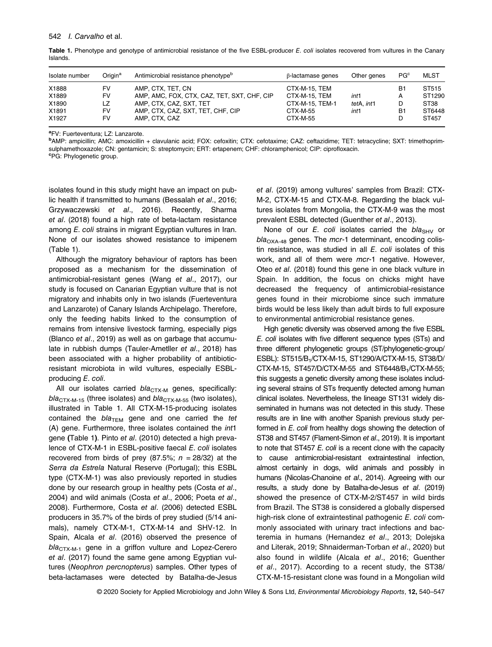| Isolate number                            | Oriain <sup>a</sup>                | Antimicrobial resistance phenotype <sup>b</sup>                                                                                                   | $\beta$ -lactamase genes                                                  | Other genes                | PG <sup>c</sup>                     | <b>MLST</b>                                            |
|-------------------------------------------|------------------------------------|---------------------------------------------------------------------------------------------------------------------------------------------------|---------------------------------------------------------------------------|----------------------------|-------------------------------------|--------------------------------------------------------|
| X1888<br>X1889<br>X1890<br>X1891<br>X1927 | <b>FV</b><br>FV<br>LZ.<br>FV<br>FV | AMP. CTX. TET. CN<br>AMP, AMC, FOX, CTX, CAZ, TET, SXT, CHF, CIP<br>AMP. CTX. CAZ. SXT. TET<br>AMP, CTX, CAZ, SXT, TET, CHF, CIP<br>AMP, CTX, CAZ | CTX-M-15, TEM<br>CTX-M-15. TEM<br>CTX-M-15, TEM-1<br>CTX-M-55<br>CTX-M-55 | int1<br>tetA. int1<br>int1 | B1<br>А<br>D<br>B <sub>1</sub><br>D | ST515<br>ST1290<br>ST <sub>38</sub><br>ST6448<br>ST457 |

Table 1. Phenotype and genotype of antimicrobial resistance of the five ESBL-producer E. coli isolates recovered from vultures in the Canary Islands.

<sup>a</sup>FV: Fuerteventura; LZ: Lanzarote.

b AMP: ampicillin; AMC: amoxicillin + clavulanic acid; FOX: cefoxitin; CTX: cefotaxime; CAZ: ceftazidime; TET: tetracycline; SXT: trimethoprimsulphamethoxazole; CN: gentamicin; S: streptomycin; ERT: ertapenem; CHF: chloramphenicol; CIP: ciprofloxacin. PG: Phylogenetic group.

isolates found in this study might have an impact on public health if transmitted to humans (Bessalah et al., 2016; Grzywaczewski et al., 2016). Recently, Sharma et al. (2018) found a high rate of beta-lactam resistance among E. coli strains in migrant Egyptian vultures in Iran. None of our isolates showed resistance to imipenem (Table 1).

Although the migratory behaviour of raptors has been proposed as a mechanism for the dissemination of antimicrobial-resistant genes (Wang et al., 2017), our study is focused on Canarian Egyptian vulture that is not migratory and inhabits only in two islands (Fuerteventura and Lanzarote) of Canary Islands Archipelago. Therefore, only the feeding habits linked to the consumption of remains from intensive livestock farming, especially pigs (Blanco et al., 2019) as well as on garbage that accumulate in rubbish dumps (Tauler-Ametller et al., 2018) has been associated with a higher probability of antibioticresistant microbiota in wild vultures, especially ESBLproducing E. coli.

All our isolates carried  $bla_{CTX-M}$  genes, specifically:  $bla_{CTX-M-15}$  (three isolates) and  $bla_{CTX-M-55}$  (two isolates), illustrated in Table 1. All CTX-M-15-producing isolates contained the  $bla_{\text{TEM}}$  gene and one carried the tet (A) gene. Furthermore, three isolates contained the int1 gene (Table 1). Pinto et al. (2010) detected a high prevalence of CTX-M-1 in ESBL-positive faecal E. coli isolates recovered from birds of prey (87.5%;  $n = 28/32$ ) at the Serra da Estrela Natural Reserve (Portugal); this ESBL type (CTX-M-1) was also previously reported in studies done by our research group in healthy pets (Costa et al., 2004) and wild animals (Costa et al., 2006; Poeta et al., 2008). Furthermore, Costa et al. (2006) detected ESBL producers in 35.7% of the birds of prey studied (5/14 animals), namely CTX-M-1, CTX-M-14 and SHV-12. In Spain, Alcala et al. (2016) observed the presence of  $bla_{CTX-M-1}$  gene in a griffon vulture and Lopez-Cerero et al. (2017) found the same gene among Egyptian vultures (Neophron percnopterus) samples. Other types of beta-lactamases were detected by Batalha-de-Jesus et al. (2019) among vultures' samples from Brazil: CTX-M-2, CTX-M-15 and CTX-M-8. Regarding the black vultures isolates from Mongolia, the CTX-M-9 was the most prevalent ESBL detected (Guenther et al., 2013).

None of our  $E$ . coli isolates carried the bla<sub>SHV</sub> or  $bla<sub>OXA-48</sub>$  genes. The mcr-1 determinant, encoding colistin resistance, was studied in all  $E$ . coli isolates of this work, and all of them were mcr-1 negative. However, Oteo et al. (2018) found this gene in one black vulture in Spain. In addition, the focus on chicks might have decreased the frequency of antimicrobial-resistance genes found in their microbiome since such immature birds would be less likely than adult birds to full exposure to environmental antimicrobial resistance genes.

High genetic diversity was observed among the five ESBL E. coli isolates with five different sequence types (STs) and three different phylogenetic groups (ST/phylogenetic-group/ ESBL): ST515/B1/CTX-M-15, ST1290/A/CTX-M-15, ST38/D/ CTX-M-15, ST457/D/CTX-M-55 and ST6448/B1/CTX-M-55; this suggests a genetic diversity among these isolates including several strains of STs frequently detected among human clinical isolates. Nevertheless, the lineage ST131 widely disseminated in humans was not detected in this study. These results are in line with another Spanish previous study performed in E. coli from healthy dogs showing the detection of ST38 and ST457 (Flament-Simon et al., 2019). It is important to note that ST457 E. coli is a recent clone with the capacity to cause antimicrobial-resistant extraintestinal infection, almost certainly in dogs, wild animals and possibly in humans (Nicolas-Chanoine et al., 2014). Agreeing with our results, a study done by Batalha-de-Jesus et al. (2019) showed the presence of CTX-M-2/ST457 in wild birds from Brazil. The ST38 is considered a globally dispersed high-risk clone of extraintestinal pathogenic E. coli commonly associated with urinary tract infections and bacteremia in humans (Hernandez et al., 2013; Dolejska and Literak, 2019; Shnaiderman-Torban et al., 2020) but also found in wildlife (Alcala et al., 2016; Guenther et al., 2017). According to a recent study, the ST38/ CTX-M-15-resistant clone was found in a Mongolian wild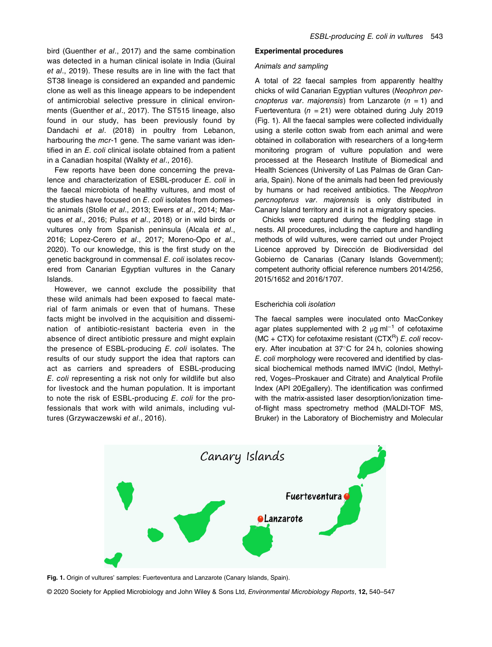bird (Guenther et al., 2017) and the same combination was detected in a human clinical isolate in India (Guiral et al., 2019). These results are in line with the fact that ST38 lineage is considered an expanded and pandemic clone as well as this lineage appears to be independent of antimicrobial selective pressure in clinical environments (Guenther et al., 2017). The ST515 lineage, also found in our study, has been previously found by Dandachi et al. (2018) in poultry from Lebanon, harbouring the mcr-1 gene. The same variant was identified in an E. coli clinical isolate obtained from a patient in a Canadian hospital (Walkty et al., 2016).

Few reports have been done concerning the prevalence and characterization of ESBL-producer E. coli in the faecal microbiota of healthy vultures, and most of the studies have focused on E. coli isolates from domestic animals (Stolle et al., 2013; Ewers et al., 2014; Marques et al., 2016; Pulss et al., 2018) or in wild birds or vultures only from Spanish peninsula (Alcala et al., 2016; Lopez-Cerero et al., 2017; Moreno-Opo et al., 2020). To our knowledge, this is the first study on the genetic background in commensal E. coli isolates recovered from Canarian Egyptian vultures in the Canary Islands.

However, we cannot exclude the possibility that these wild animals had been exposed to faecal material of farm animals or even that of humans. These facts might be involved in the acquisition and dissemination of antibiotic-resistant bacteria even in the absence of direct antibiotic pressure and might explain the presence of ESBL-producing E. coli isolates. The results of our study support the idea that raptors can act as carriers and spreaders of ESBL-producing E. coli representing a risk not only for wildlife but also for livestock and the human population. It is important to note the risk of ESBL-producing E. coli for the professionals that work with wild animals, including vultures (Grzywaczewski et al., 2016).

## Experimental procedures

## Animals and sampling

A total of 22 faecal samples from apparently healthy chicks of wild Canarian Egyptian vultures (Neophron percnopterus var. majorensis) from Lanzarote  $(n = 1)$  and Fuerteventura ( $n = 21$ ) were obtained during July 2019 (Fig. 1). All the faecal samples were collected individually using a sterile cotton swab from each animal and were obtained in collaboration with researchers of a long-term monitoring program of vulture population and were processed at the Research Institute of Biomedical and Health Sciences (University of Las Palmas de Gran Canaria, Spain). None of the animals had been fed previously by humans or had received antibiotics. The Neophron percnopterus var. majorensis is only distributed in Canary Island territory and it is not a migratory species.

Chicks were captured during the fledgling stage in nests. All procedures, including the capture and handling methods of wild vultures, were carried out under Project Licence approved by Dirección de Biodiversidad del Gobierno de Canarias (Canary Islands Government); competent authority official reference numbers 2014/256, 2015/1652 and 2016/1707.

## Escherichia coli isolation

The faecal samples were inoculated onto MacConkey agar plates supplemented with 2  $\mu$ g ml<sup>-1</sup> of cefotaxime (MC + CTX) for cefotaxime resistant (CTX<sup>R</sup>) E. coli recovery. After incubation at  $37^{\circ}$ C for 24 h, colonies showing E. coli morphology were recovered and identified by classical biochemical methods named IMViC (Indol, Methylred, Voges–Proskauer and Citrate) and Analytical Profile Index (API 20Egallery). The identification was confirmed with the matrix-assisted laser desorption/ionization timeof-flight mass spectrometry method (MALDI-TOF MS, Bruker) in the Laboratory of Biochemistry and Molecular



Fig. 1. Origin of vultures' samples: Fuerteventura and Lanzarote (Canary Islands, Spain).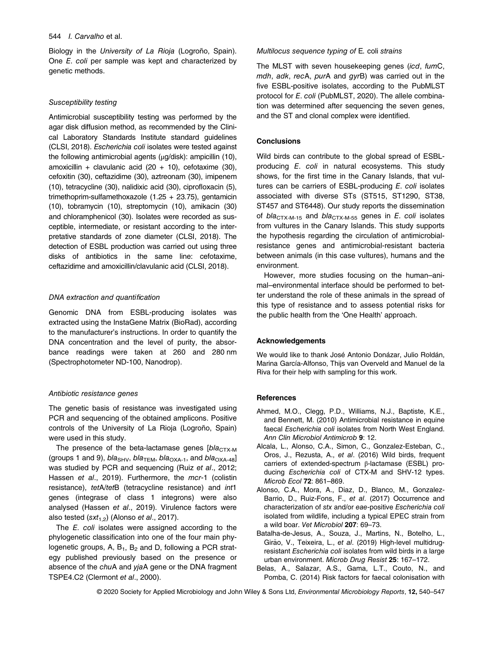#### 544 I. Carvalho et al.

Biology in the University of La Rioja (Logroño, Spain). One E. coli per sample was kept and characterized by genetic methods.

#### Susceptibility testing

Antimicrobial susceptibility testing was performed by the agar disk diffusion method, as recommended by the Clinical Laboratory Standards Institute standard guidelines (CLSI, 2018). Escherichia coli isolates were tested against the following antimicrobial agents (μg/disk): ampicillin (10), amoxicillin + clavulanic acid  $(20 + 10)$ , cefotaxime  $(30)$ , cefoxitin (30), ceftazidime (30), aztreonam (30), imipenem (10), tetracycline (30), nalidixic acid (30), ciprofloxacin (5), trimethoprim-sulfamethoxazole (1.25 + 23.75), gentamicin (10), tobramycin (10), streptomycin (10), amikacin (30) and chloramphenicol (30). Isolates were recorded as susceptible, intermediate, or resistant according to the interpretative standards of zone diameter (CLSI, 2018). The detection of ESBL production was carried out using three disks of antibiotics in the same line: cefotaxime, ceftazidime and amoxicillin/clavulanic acid (CLSI, 2018).

#### DNA extraction and quantification

Genomic DNA from ESBL-producing isolates was extracted using the InstaGene Matrix (BioRad), according to the manufacturer's instructions. In order to quantify the DNA concentration and the level of purity, the absorbance readings were taken at 260 and 280 nm (Spectrophotometer ND-100, Nanodrop).

## Antibiotic resistance genes

The genetic basis of resistance was investigated using PCR and sequencing of the obtained amplicons. Positive controls of the University of La Rioja (Logroño, Spain) were used in this study.

The presence of the beta-lactamase genes  $[b/a<sub>CTX-M</sub>]$ (groups 1 and 9),  $bla_{SHV}$ ,  $bla_{TEM}$ ,  $bla_{OXA-1}$ , and  $bla_{OXA-48}$ ] was studied by PCR and sequencing (Ruiz et al., 2012; Hassen et al., 2019). Furthermore, the mcr-1 (colistin resistance), tetA/tetB (tetracycline resistance) and int1 genes (integrase of class 1 integrons) were also analysed (Hassen et al., 2019). Virulence factors were also tested ( $sxt_{1,2}$ ) (Alonso et al., 2017).

The E. coli isolates were assigned according to the phylogenetic classification into one of the four main phylogenetic groups, A,  $B_1$ ,  $B_2$  and D, following a PCR strategy published previously based on the presence or absence of the chuA and yjaA gene or the DNA fragment TSPE4.C2 (Clermont et al., 2000).

#### Multilocus sequence typing of E. coli strains

The MLST with seven housekeeping genes (icd, fumC, mdh, adk, recA, purA and gyrB) was carried out in the five ESBL-positive isolates, according to the PubMLST protocol for E. coli (PubMLST, 2020). The allele combination was determined after sequencing the seven genes, and the ST and clonal complex were identified.

## **Conclusions**

Wild birds can contribute to the global spread of ESBLproducing E. coli in natural ecosystems. This study shows, for the first time in the Canary Islands, that vultures can be carriers of ESBL-producing E. coli isolates associated with diverse STs (ST515, ST1290, ST38, ST457 and ST6448). Our study reports the dissemination of  $bla_{CTX-M-15}$  and  $bla_{CTX-M-55}$  genes in E. coli isolates from vultures in the Canary Islands. This study supports the hypothesis regarding the circulation of antimicrobialresistance genes and antimicrobial-resistant bacteria between animals (in this case vultures), humans and the environment.

However, more studies focusing on the human–animal–environmental interface should be performed to better understand the role of these animals in the spread of this type of resistance and to assess potential risks for the public health from the 'One Health' approach.

### Acknowledgements

We would like to thank José Antonio Donázar, Julio Roldán, Marina García-Alfonso, Thijs van Overveld and Manuel de la Riva for their help with sampling for this work.

#### References

- Ahmed, M.O., Clegg, P.D., Williams, N.J., Baptiste, K.E., and Bennett, M. (2010) Antimicrobial resistance in equine faecal Escherichia coli isolates from North West England. Ann Clin Microbiol Antimicrob 9: 12.
- Alcala, L., Alonso, C.A., Simon, C., Gonzalez-Esteban, C., Oros, J., Rezusta, A., et al. (2016) Wild birds, frequent carriers of extended-spectrum β-lactamase (ESBL) producing Escherichia coli of CTX-M and SHV-12 types. Microb Ecol 72: 861–869.
- Alonso, C.A., Mora, A., Diaz, D., Blanco, M., Gonzalez-Barrio, D., Ruiz-Fons, F., et al. (2017) Occurrence and characterization of stx and/or eae-positive Escherichia coli isolated from wildlife, including a typical EPEC strain from a wild boar. Vet Microbiol 207: 69–73.
- Batalha-de-Jesus, A., Souza, J., Martins, N., Botelho, L., Girão, V., Teixeira, L., et al. (2019) High-level multidrugresistant Escherichia coli isolates from wild birds in a large urban environment. Microb Drug Resist 25: 167–172.
- Belas, A., Salazar, A.S., Gama, L.T., Couto, N., and Pomba, C. (2014) Risk factors for faecal colonisation with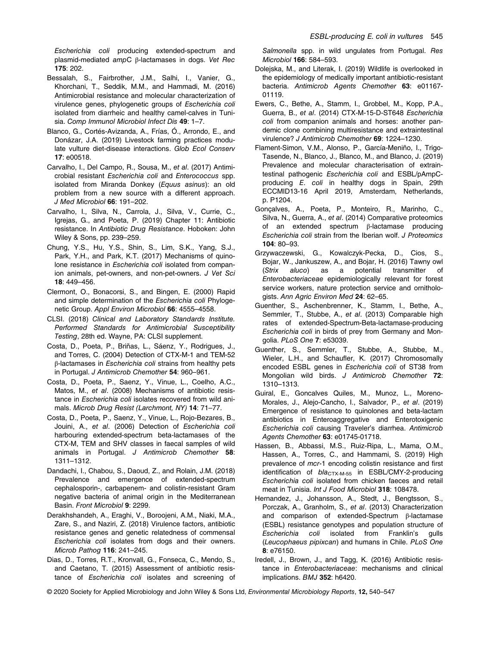Escherichia coli producing extended-spectrum and plasmid-mediated ampC β-lactamases in dogs. Vet Rec 175: 202.

- Bessalah, S., Fairbrother, J.M., Salhi, I., Vanier, G., Khorchani, T., Seddik, M.M., and Hammadi, M. (2016) Antimicrobial resistance and molecular characterization of virulence genes, phylogenetic groups of Escherichia coli isolated from diarrheic and healthy camel-calves in Tunisia. Comp Immunol Microbiol Infect Dis 49: 1–7.
- Blanco, G., Cortés-Avizanda, A., Frías, Ó., Arrondo, E., and Donázar, J.A. (2019) Livestock farming practices modulate vulture diet-disease interactions. Glob Ecol Conserv 17: e00518.
- Carvalho, I., Del Campo, R., Sousa, M., et al. (2017) Antimicrobial resistant Escherichia coli and Enterococcus spp. isolated from Miranda Donkey (Equus asinus): an old problem from a new source with a different approach. J Med Microbiol 66: 191–202.
- Carvalho, I., Silva, N., Carrola, J., Silva, V., Currie, C., Igrejas, G., and Poeta, P. (2019) Chapter 11: Antibiotic resistance. In Antibiotic Drug Resistance. Hoboken: John Wiley & Sons, pp. 239–259.
- Chung, Y.S., Hu, Y.S., Shin, S., Lim, S.K., Yang, S.J., Park, Y.H., and Park, K.T. (2017) Mechanisms of quinolone resistance in Escherichia coli isolated from companion animals, pet-owners, and non-pet-owners. J Vet Sci 18: 449–456.
- Clermont, O., Bonacorsi, S., and Bingen, E. (2000) Rapid and simple determination of the Escherichia coli Phylogenetic Group. Appl Environ Microbiol 66: 4555–4558.
- CLSI. (2018) Clinical and Laboratory Standards Institute. Performed Standards for Antimicrobial Susceptibility Testing, 28th ed. Wayne, PA: CLSI supplement.
- Costa, D., Poeta, P., Briñas, L., Sáenz, Y., Rodrigues, J., and Torres, C. (2004) Detection of CTX-M-1 and TEM-52 β-lactamases in Escherichia coli strains from healthy pets in Portugal. J Antimicrob Chemother 54: 960–961.
- Costa, D., Poeta, P., Saenz, Y., Vinue, L., Coelho, A.C., Matos, M., et al. (2008) Mechanisms of antibiotic resistance in Escherichia coli isolates recovered from wild animals. Microb Drug Resist (Larchmont, NY) 14: 71–77.
- Costa, D., Poeta, P., Saenz, Y., Vinue, L., Rojo-Bezares, B., Jouini, A., et al. (2006) Detection of Escherichia coli harbouring extended-spectrum beta-lactamases of the CTX-M, TEM and SHV classes in faecal samples of wild animals in Portugal. J Antimicrob Chemother 58: 1311–1312.
- Dandachi, I., Chabou, S., Daoud, Z., and Rolain, J.M. (2018) Prevalence and emergence of extended-spectrum cephalosporin-, carbapenem- and colistin-resistant Gram negative bacteria of animal origin in the Mediterranean Basin. Front Microbiol 9: 2299.
- Derakhshandeh, A., Eraghi, V., Boroojeni, A.M., Niaki, M.A., Zare, S., and Naziri, Z. (2018) Virulence factors, antibiotic resistance genes and genetic relatedness of commensal Escherichia coli isolates from dogs and their owners. Microb Pathog 116: 241–245.
- Dias, D., Torres, R.T., Kronvall, G., Fonseca, C., Mendo, S., and Caetano, T. (2015) Assessment of antibiotic resistance of Escherichia coli isolates and screening of

Salmonella spp. in wild ungulates from Portugal. Res Microbiol 166: 584–593.

- Dolejska, M., and Literak, I. (2019) Wildlife is overlooked in the epidemiology of medically important antibiotic-resistant bacteria. Antimicrob Agents Chemother 63: e01167- 01119.
- Ewers, C., Bethe, A., Stamm, I., Grobbel, M., Kopp, P.A., Guerra, B., et al. (2014) CTX-M-15-D-ST648 Escherichia coli from companion animals and horses: another pandemic clone combining multiresistance and extraintestinal virulence? J Antimicrob Chemother 69: 1224–1230.
- Flament-Simon, V.M., Alonso, P., García-Meniño, I., Trigo-Tasende, N., Blanco, J., Blanco, M., and Blanco, J. (2019) Prevalence and molecular characterisation of extraintestinal pathogenic Escherichia coli and ESBL/pAmpCproducing E. coli in healthy dogs in Spain, 29th ECCMID13-16 April 2019, Amsterdam, Netherlands, p. P1204.
- Gonçalves, A., Poeta, P., Monteiro, R., Marinho, C., Silva, N., Guerra, A., et al. (2014) Comparative proteomics of an extended spectrum β-lactamase producing Escherichia coli strain from the Iberian wolf. J Proteomics 104: 80–93.
- Grzywaczewski, G., Kowalczyk-Pecka, D., Cios, S., Bojar, W., Jankuszew, A., and Bojar, H. (2016) Tawny owl (Strix aluco) as a potential transmitter of Enterobacteriaceae epidemiologically relevant for forest service workers, nature protection service and ornithologists. Ann Agric Environ Med 24: 62–65.
- Guenther, S., Aschenbrenner, K., Stamm, I., Bethe, A., Semmler, T., Stubbe, A., et al. (2013) Comparable high rates of extended-Spectrum-Beta-lactamase-producing Escherichia coli in birds of prey from Germany and Mongolia. PLoS One 7: e53039.
- Guenther, S., Semmler, T., Stubbe, A., Stubbe, M., Wieler, L.H., and Schaufler, K. (2017) Chromosomally encoded ESBL genes in Escherichia coli of ST38 from Mongolian wild birds. J Antimicrob Chemother 72: 1310–1313.
- Guiral, E., Goncalves Quiles, M., Munoz, L., Moreno-Morales, J., Alejo-Cancho, I., Salvador, P., et al. (2019) Emergence of resistance to quinolones and beta-lactam antibiotics in Enteroaggregative and Enterotoxigenic Escherichia coli causing Traveler's diarrhea. Antimicrob Agents Chemother 63: e01745-01718.
- Hassen, B., Abbassi, M.S., Ruiz-Ripa, L., Mama, O.M., Hassen, A., Torres, C., and Hammami, S. (2019) High prevalence of mcr-1 encoding colistin resistance and first identification of  $bla_{CTX-M-55}$  in ESBL/CMY-2-producing Escherichia coli isolated from chicken faeces and retail meat in Tunisia. Int J Food Microbiol 318: 108478.
- Hernandez, J., Johansson, A., Stedt, J., Bengtsson, S., Porczak, A., Granholm, S., et al. (2013) Characterization and comparison of extended-Spectrum β-lactamase (ESBL) resistance genotypes and population structure of Escherichia coli isolated from Franklin's gulls (Leucophaeus pipixcan) and humans in Chile. PLoS One 8: e76150.
- Iredell, J., Brown, J., and Tagg, K. (2016) Antibiotic resistance in Enterobacteriaceae: mechanisms and clinical implications. BMJ 352: h6420.
- © 2020 Society for Applied Microbiology and John Wiley & Sons Ltd, Environmental Microbiology Reports, 12, 540–547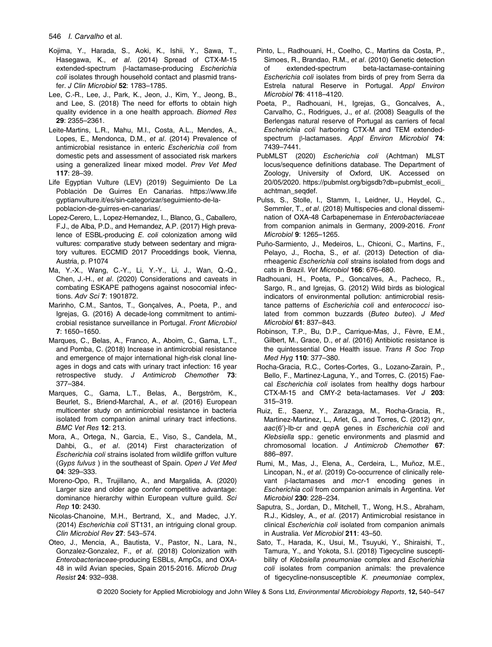### 546 I. Carvalho et al.

- Kojima, Y., Harada, S., Aoki, K., Ishii, Y., Sawa, T., Hasegawa, K., et al. (2014) Spread of CTX-M-15 extended-spectrum β-lactamase-producing Escherichia coli isolates through household contact and plasmid transfer. J Clin Microbiol 52: 1783–1785.
- Lee, C.-R., Lee, J., Park, K., Jeon, J., Kim, Y., Jeong, B., and Lee, S. (2018) The need for efforts to obtain high quality evidence in a one health approach. Biomed Res 29: 2355–2361.
- Leite-Martins, L.R., Mahu, M.I., Costa, A.L., Mendes, A., Lopes, E., Mendonca, D.M., et al. (2014) Prevalence of antimicrobial resistance in enteric Escherichia coli from domestic pets and assessment of associated risk markers using a generalized linear mixed model. Prev Vet Med 117: 28–39.
- Life Egyptian Vulture (LEV) (2019) Seguimiento De La Población De Guirres En Canarias. [https://www.life](https://www.lifegyptianvulture.it/es/sin-categorizar/seguimiento-de-la-poblacion-de-guirres-en-canarias/) [gyptianvulture.it/es/sin-categorizar/seguimiento-de-la](https://www.lifegyptianvulture.it/es/sin-categorizar/seguimiento-de-la-poblacion-de-guirres-en-canarias/)[poblacion-de-guirres-en-canarias/.](https://www.lifegyptianvulture.it/es/sin-categorizar/seguimiento-de-la-poblacion-de-guirres-en-canarias/)
- Lopez-Cerero, L., Lopez-Hernandez, I.., Blanco, G., Caballero, F.J., de Alba, P.D., and Hernandez, A.P. (2017) High prevalence of ESBL-producing E. coli colonization among wild vultures: comparative study between sedentary and migratory vultures. ECCMID 2017 Proceddings book, Vienna, Austria, p. P1074
- Ma, Y.-X., Wang, C.-Y., Li, Y.-Y., Li, J., Wan, Q.-Q., Chen, J.-H., et al. (2020) Considerations and caveats in combating ESKAPE pathogens against nosocomial infections. Adv Sci 7: 1901872.
- Marinho, C.M., Santos, T., Gonçalves, A., Poeta, P., and Igrejas, G. (2016) A decade-long commitment to antimicrobial resistance surveillance in Portugal. Front Microbiol 7: 1650–1650.
- Marques, C., Belas, A., Franco, A., Aboim, C., Gama, L.T., and Pomba, C. (2018) Increase in antimicrobial resistance and emergence of major international high-risk clonal lineages in dogs and cats with urinary tract infection: 16 year retrospective study. J Antimicrob Chemother 73: 377–384.
- Marques, C., Gama, L.T., Belas, A., Bergström, K., Beurlet, S., Briend-Marchal, A., et al. (2016) European multicenter study on antimicrobial resistance in bacteria isolated from companion animal urinary tract infections. BMC Vet Res 12: 213.
- Mora, A., Ortega, N., Garcia, E., Viso, S., Candela, M., Dahbi, G., et al. (2014) First characterization of Escherichia coli strains isolated from wildlife griffon vulture (Gyps fulvus ) in the southeast of Spain. Open J Vet Med 04: 329–333.
- Moreno-Opo, R., Trujillano, A., and Margalida, A. (2020) Larger size and older age confer competitive advantage: dominance hierarchy within European vulture guild. Sci Rep 10: 2430.
- Nicolas-Chanoine, M.H., Bertrand, X., and Madec, J.Y. (2014) Escherichia coli ST131, an intriguing clonal group. Clin Microbiol Rev 27: 543–574.
- Oteo, J., Mencia, A., Bautista, V., Pastor, N., Lara, N., Gonzalez-Gonzalez, F., et al. (2018) Colonization with Enterobacteriaceae-producing ESBLs, AmpCs, and OXA-48 in wild Avian species, Spain 2015-2016. Microb Drug Resist 24: 932–938.
- Pinto, L., Radhouani, H., Coelho, C., Martins da Costa, P., Simoes, R., Brandao, R.M., et al. (2010) Genetic detection of extended-spectrum beta-lactamase-containing Escherichia coli isolates from birds of prey from Serra da Estrela natural Reserve in Portugal. Appl Environ Microbiol 76: 4118–4120.
- Poeta, P., Radhouani, H., Igrejas, G., Goncalves, A., Carvalho, C., Rodrigues, J., et al. (2008) Seagulls of the Berlengas natural reserve of Portugal as carriers of fecal Escherichia coli harboring CTX-M and TEM extendedspectrum β-lactamases. Appl Environ Microbiol 74: 7439–7441.
- PubMLST (2020) Escherichia coli (Achtman) MLST locus/sequence definitions database. The Department of Zoology, University of Oxford, UK. Accessed on 20/05/2020. [https://pubmlst.org/bigsdb?db=pubmlst\\_ecoli\\_](https://pubmlst.org/bigsdb?db=pubmlst_ecoli_achtman_seqdef) [achtman\\_seqdef.](https://pubmlst.org/bigsdb?db=pubmlst_ecoli_achtman_seqdef)
- Pulss, S., Stolle, I., Stamm, I., Leidner, U., Heydel, C., Semmler, T., et al. (2018) Multispecies and clonal dissemination of OXA-48 Carbapenemase in Enterobacteriaceae from companion animals in Germany, 2009-2016. Front Microbiol 9: 1265–1265.
- Puño-Sarmiento, J., Medeiros, L., Chiconi, C., Martins, F., Pelayo, J., Rocha, S., et al. (2013) Detection of diarrheagenic Escherichia coli strains isolated from dogs and cats in Brazil. Vet Microbiol 166: 676–680.
- Radhouani, H., Poeta, P., Goncalves, A., Pacheco, R., Sargo, R., and Igrejas, G. (2012) Wild birds as biological indicators of environmental pollution: antimicrobial resistance patterns of Escherichia coli and enterococci isolated from common buzzards (Buteo buteo). J Med Microbiol 61: 837–843.
- Robinson, T.P., Bu, D.P., Carrique-Mas, J., Fèvre, E.M., Gilbert, M., Grace, D., et al. (2016) Antibiotic resistance is the quintessential One Health issue. Trans R Soc Trop Med Hyg 110: 377–380.
- Rocha-Gracia, R.C., Cortes-Cortes, G., Lozano-Zarain, P., Bello, F., Martinez-Laguna, Y., and Torres, C. (2015) Faecal Escherichia coli isolates from healthy dogs harbour CTX-M-15 and CMY-2 beta-lactamases. Vet J 203: 315–319.
- Ruiz, E., Saenz, Y., Zarazaga, M., Rocha-Gracia, R., Martinez-Martinez, L., Arlet, G., and Torres, C. (2012) qnr, aac(6')-lb-cr and qepA genes in Escherichia coli and Klebsiella spp.: genetic environments and plasmid and chromosomal location. J Antimicrob Chemother 67: 886–897.
- Rumi, M., Mas, J., Elena, A., Cerdeira, L., Muñoz, M.E., Lincopan, N., et al. (2019) Co-occurrence of clinically relevant β-lactamases and mcr-1 encoding genes in Escherichia coli from companion animals in Argentina. Vet Microbiol 230: 228–234.
- Saputra, S., Jordan, D., Mitchell, T., Wong, H.S., Abraham, R.J., Kidsley, A., et al. (2017) Antimicrobial resistance in clinical Escherichia coli isolated from companion animals in Australia. Vet Microbiol 211: 43–50.
- Sato, T., Harada, K., Usui, M., Tsuyuki, Y., Shiraishi, T., Tamura, Y., and Yokota, S.I. (2018) Tigecycline susceptibility of Klebsiella pneumoniae complex and Escherichia coli isolates from companion animals: the prevalence of tigecycline-nonsusceptible K. pneumoniae complex,